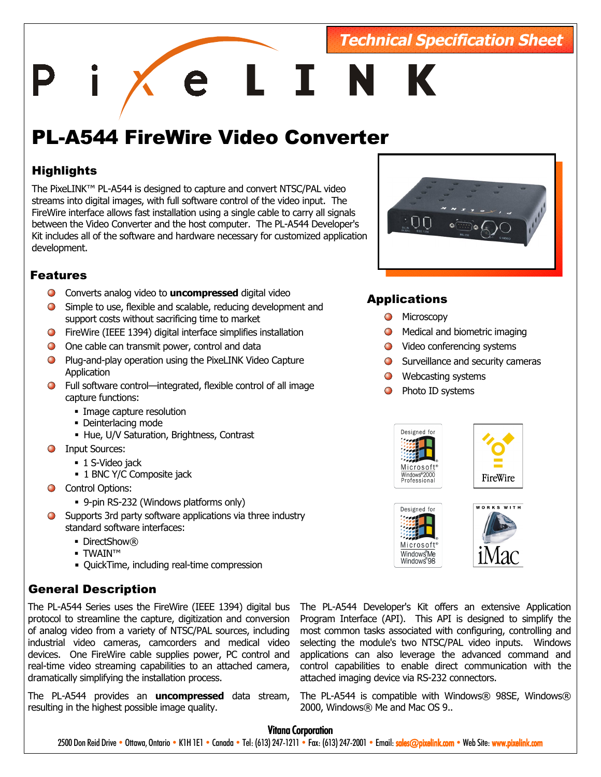## **Technical Specification Sheet**

e L I N

# PL-A544 FireWire Video Converter

## **Highlights**

The PixeLINK™ PL-A544 is designed to capture and convert NTSC/PAL video streams into digital images, with full software control of the video input. The FireWire interface allows fast installation using a single cable to carry all signals between the Video Converter and the host computer. The PL-A544 Developer's Kit includes all of the software and hardware necessary for customized application development.

## Features

- Converts analog video to **uncompressed** digital video
- Simple to use, flexible and scalable, reducing development and support costs without sacrificing time to market
- FireWire (IEEE 1394) digital interface simplifies installation
- O One cable can transmit power, control and data
- **Plug-and-play operation using the PixeLINK Video Capture Application**
- Full software control—integrated, flexible control of all image capture functions:
	- Image capture resolution
	- Deinterlacing mode
	- Hue, U/V Saturation, Brightness, Contrast
- **O** Input Sources:
	- 1 S-Video jack
	- 1 BNC Y/C Composite jack
- **C** Control Options:
	- 9-pin RS-232 (Windows platforms only)
- Supports 3rd party software applications via three industry standard software interfaces:
	- DirectShow®
	- TWAIN™
	- QuickTime, including real-time compression

## General Description

The PL-A544 Series uses the FireWire (IEEE 1394) digital bus protocol to streamline the capture, digitization and conversion of analog video from a variety of NTSC/PAL sources, including industrial video cameras, camcorders and medical video devices. One FireWire cable supplies power, PC control and real-time video streaming capabilities to an attached camera, dramatically simplifying the installation process.

The PL-A544 provides an **uncompressed** data stream, resulting in the highest possible image quality.



## Applications

- **O** Microscopy
- **O** Medical and biometric imaging
- Video conferencing systems
- $\bigcirc$  Surveillance and security cameras
- **O** Webcasting systems
- **O** Photo ID systems









The PL-A544 Developer's Kit offers an extensive Application Program Interface (API). This API is designed to simplify the most common tasks associated with configuring, controlling and selecting the module's two NTSC/PAL video inputs. Windows applications can also leverage the advanced command and control capabilities to enable direct communication with the attached imaging device via RS-232 connectors.

The PL-A544 is compatible with Windows® 98SE, Windows® 2000, Windows® Me and Mac OS 9..

#### **Vitana Corporation**

2500 Don Reid Drive • Ottawa, Ontario • K1H 1E1 • Canada • Tel: (613) 247-1211 • Fax: (613) 247-2001 • Email: sales@pixelink.com • Web Sit[e: www.pixelink.com](http://www.pixelink.com/)